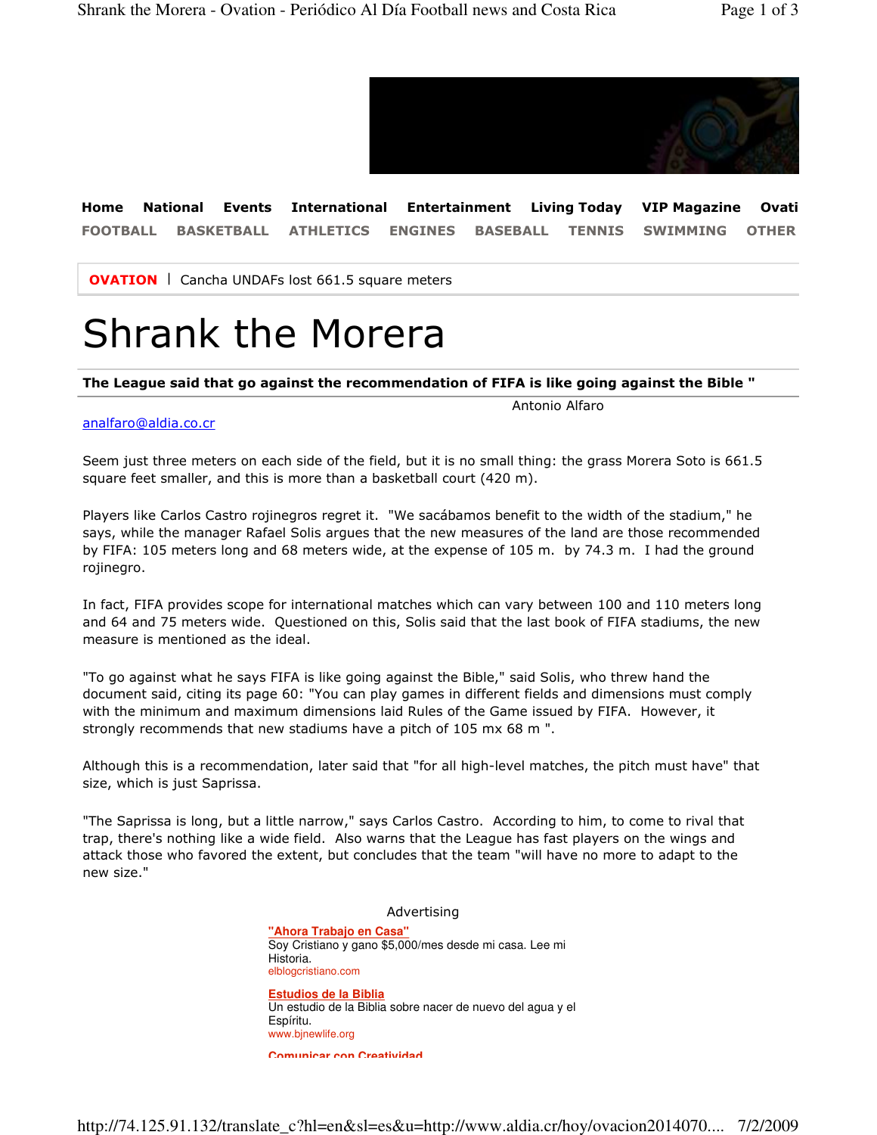

Antonio Alfaro

Home National Events International Entertainment Living Today VIP Magazine Ovati FOOTBALL BASKETBALL ATHLETICS ENGINES BASEBALL TENNIS SWIMMING OTHER

**OVATION** | Cancha UNDAFs lost 661.5 square meters

## Shrank the Morera

The League said that go against the recommendation of FIFA is like going against the Bible "

analfaro@aldia.co.cr

Seem just three meters on each side of the field, but it is no small thing: the grass Morera Soto is 661.5 square feet smaller, and this is more than a basketball court (420 m).

Players like Carlos Castro rojinegros regret it. "We sacábamos benefit to the width of the stadium," he says, while the manager Rafael Solis argues that the new measures of the land are those recommended by FIFA: 105 meters long and 68 meters wide, at the expense of 105 m. by 74.3 m. I had the ground rojinegro.

In fact, FIFA provides scope for international matches which can vary between 100 and 110 meters long and 64 and 75 meters wide. Questioned on this, Solis said that the last book of FIFA stadiums, the new measure is mentioned as the ideal.

"To go against what he says FIFA is like going against the Bible," said Solis, who threw hand the document said, citing its page 60: "You can play games in different fields and dimensions must comply with the minimum and maximum dimensions laid Rules of the Game issued by FIFA. However, it strongly recommends that new stadiums have a pitch of 105 mx 68 m ".

Although this is a recommendation, later said that "for all high-level matches, the pitch must have" that size, which is just Saprissa.

"The Saprissa is long, but a little narrow," says Carlos Castro. According to him, to come to rival that trap, there's nothing like a wide field. Also warns that the League has fast players on the wings and attack those who favored the extent, but concludes that the team "will have no more to adapt to the new size."

Advertising

**"Ahora Trabajo en Casa"** Soy Cristiano y gano \$5,000/mes desde mi casa. Lee mi Historia. elblogcristiano.com

**Estudios de la Biblia** Un estudio de la Biblia sobre nacer de nuevo del agua y el Espíritu. www.bjnewlife.org

**Comunicar con Creatividad**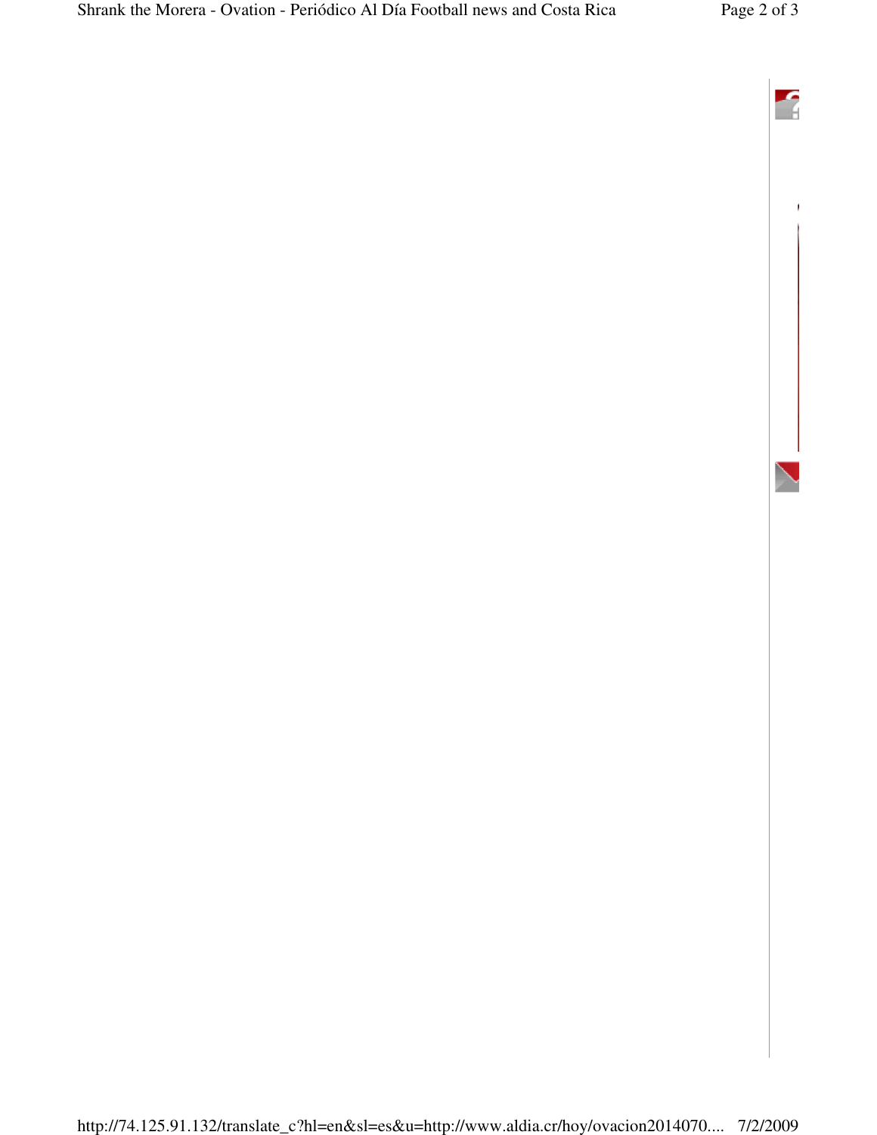